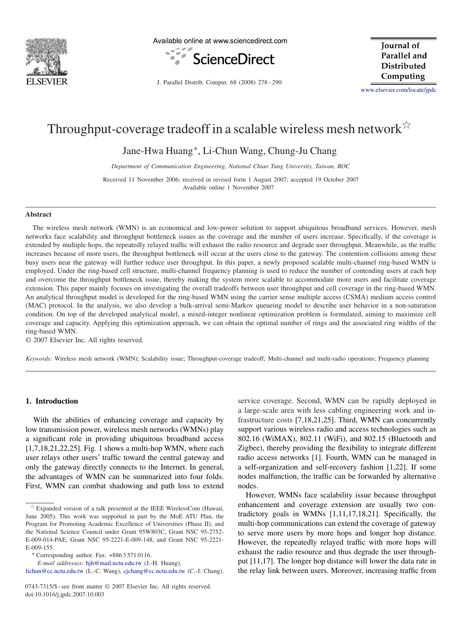

Available online at www.sciencedirect.com



**Journal** of Parallel and Distributed Computing

J. Parallel Distrib. Comput. 68 (2008) 278 – 290

[www.elsevier.com/locate/jpdc](http://www.elsevier.com/locate/jpdc)

# Throughput-coverage tradeoff in a scalable wireless mesh network  $\mathbb{X}$

Jane-Hwa Huang∗, Li-Chun Wang, Chung-Ju Chang

*Department of Communication Engineering, National Chiao Tung University, Taiwan, ROC*

Received 11 November 2006; received in revised form 1 August 2007; accepted 19 October 2007 Available online 1 November 2007

# **Abstract**

The wireless mesh network (WMN) is an economical and low-power solution to support ubiquitous broadband services. However, mesh networks face scalability and throughput bottleneck issues as the coverage and the number of users increase. Specifically, if the coverage is extended by multiple hops, the repeatedly relayed traffic will exhaust the radio resource and degrade user throughput. Meanwhile, as the traffic increases because of more users, the throughput bottleneck will occur at the users close to the gateway. The contention collisions among these busy users near the gateway will further reduce user throughput. In this paper, a newly proposed scalable multi-channel ring-based WMN is employed. Under the ring-based cell structure, multi-channel frequency planning is used to reduce the number of contending users at each hop and overcome the throughput bottleneck issue, thereby making the system more scalable to accommodate more users and facilitate coverage extension. This paper mainly focuses on investigating the overall tradeoffs between user throughput and cell coverage in the ring-based WMN. An analytical throughput model is developed for the ring-based WMN using the carrier sense multiple access (CSMA) medium access control (MAC) protocol. In the analysis, we also develop a bulk-arrival semi-Markov queueing model to describe user behavior in a non-saturation condition. On top of the developed analytical model, a mixed-integer nonlinear optimization problem is formulated, aiming to maximize cell coverage and capacity. Applying this optimization approach, we can obtain the optimal number of rings and the associated ring widths of the ring-based WMN.

© 2007 Elsevier Inc. All rights reserved.

*Keywords:* Wireless mesh network (WMN); Scalability issue; Throughput-coverage tradeoff; Multi-channel and multi-radio operations; Frequency planning

# **1. Introduction**

With the abilities of enhancing coverage and capacity by low transmission power, wireless mesh networks (WMNs) play a significant role in providing ubiquitous broadband access [\[1,](#page-11-1)[7,](#page-11-2)[18,](#page-11-3)[21,](#page-11-4)[22,](#page-11-5)[25\].](#page-11-6) Fig. [1](#page-1-0) shows a multi-hop WMN, where each user relays other users' traffic toward the central gateway and only the gateway directly connects to the Internet. In general, the advantages of WMN can be summarized into four folds. First, WMN can combat shadowing and path loss to extend

*E-mail addresses:* [hjh@mail.nctu.edu.tw](mailto:hjh@mail.nctu.edu.tw) (J.-H. Huang),

[lichun@cc.nctu.edu.tw](mailto:lichun@cc.nctu.edu.tw) (L.-C. Wang), [cjchang@cc.nctu.edu.tw](mailto:cjchang@cc.nctu.edu.tw) (C.-J. Chang).

service coverage. Second, WMN can be rapidly deployed in a large-scale area with less cabling engineering work and infrastructure costs [\[7,](#page-11-2)[18,](#page-11-3)[21,](#page-11-4)[25\].](#page-11-6) Third, WMN can concurrently support various wireless radio and access technologies such as 802.16 (WiMAX), 802.11 (WiFi), and 802.15 (Bluetooth and Zigbee), thereby providing the flexibility to integrate different radio access networks [\[1\].](#page-11-1) Fourth, WMN can be managed in a self-organization and self-recovery fashion [\[1](#page-11-1)[,22\].](#page-11-5) If some nodes malfunction, the traffic can be forwarded by alternative nodes.

However, WMNs face scalability issue because throughput enhancement and coverage extension are usually two contradictory goals in WMNs [\[1,](#page-11-1)[11,](#page-11-7)[17,](#page-11-0)[18,](#page-11-3)[21\].](#page-11-4) Specifically, the multi-hop communications can extend the coverage of gateway to serve more users by more hops and longer hop distance. However, the repeatedly relayed traffic with more hops will exhaust the radio resource and thus degrade the user throughput [\[11](#page-11-7)[,17\].](#page-11-0) The longer hop distance will lower the data rate in the relay link between users. Moreover, increasing traffic from

 $*$  Expanded version of a talk presented at the IEEE WirelessCom (Hawaii, June 2005). This work was supported in part by the MoE ATU Plan, the Program for Promoting Academic Excellence of Universities (Phase II), and the National Science Council under Grant 95W803C, Grant NSC 95-2752- E-009-014-PAE, Grant NSC 95-2221-E-009-148, and Grant NSC 95-2221- E-009-155.

<sup>∗</sup> Corresponding author. Fax: +886 3 571 0116.

<sup>0743-7315/\$ -</sup> see front matter © 2007 Elsevier Inc. All rights reserved. doi:10.1016/j.jpdc.2007.10.003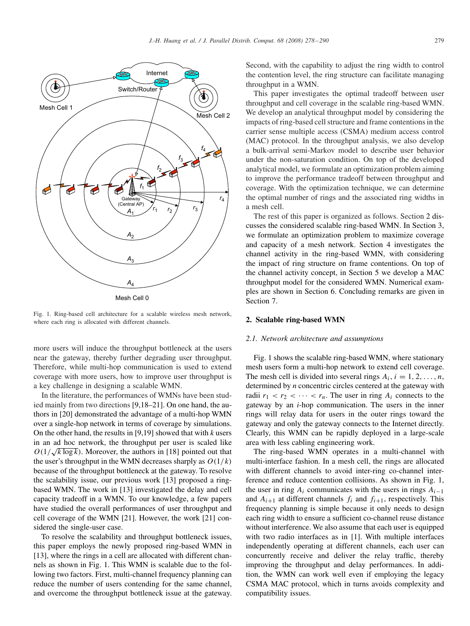

<span id="page-1-1"></span><span id="page-1-0"></span>Fig. 1. Ring-based cell architecture for a scalable wireless mesh network, where each ring is allocated with different channels.

more users will induce the throughput bottleneck at the users near the gateway, thereby further degrading user throughput. Therefore, while multi-hop communication is used to extend coverage with more users, how to improve user throughput is a key challenge in designing a scalable WMN.

In the literature, the performances of WMNs have been studied mainly from two directions [\[9,](#page-11-8)[18](#page-11-3)[–21\].](#page-11-4) On one hand, the authors in [\[20\]](#page-11-9) demonstrated the advantage of a multi-hop WMN over a single-hop network in terms of coverage by simulations. On the other hand, the results in [\[9](#page-11-8)[,19\]](#page-11-10) showed that with *k* users in an ad hoc network, the throughput per user is scaled like  $O(1/\sqrt{k \log k})$ . Moreover, the authors in [\[18\]](#page-11-3) pointed out that the user's throughput in the WMN decreases sharply as  $O(1/k)$ because of the throughput bottleneck at the gateway. To resolve the scalability issue, our previous work [\[13\]](#page-11-11) proposed a ringbased WMN. The work in [\[13\]](#page-11-11) investigated the delay and cell capacity tradeoff in a WMN. To our knowledge, a few papers have studied the overall performances of user throughput and cell coverage of the WMN [\[21\].](#page-11-4) However, the work [\[21\]](#page-11-4) considered the single-user case.

To resolve the scalability and throughput bottleneck issues, this paper employs the newly proposed ring-based WMN in [\[13\],](#page-11-11) where the rings in a cell are allocated with different channels as shown in Fig. [1.](#page-1-0) This WMN is scalable due to the following two factors. First, multi-channel frequency planning can reduce the number of users contending for the same channel, and overcome the throughput bottleneck issue at the gateway. Second, with the capability to adjust the ring width to control the contention level, the ring structure can facilitate managing throughput in a WMN.

This paper investigates the optimal tradeoff between user throughput and cell coverage in the scalable ring-based WMN. We develop an analytical throughput model by considering the impacts of ring-based cell structure and frame contentions in the carrier sense multiple access (CSMA) medium access control (MAC) protocol. In the throughput analysis, we also develop a bulk-arrival semi-Markov model to describe user behavior under the non-saturation condition. On top of the developed analytical model, we formulate an optimization problem aiming to improve the performance tradeoff between throughput and coverage. With the optimization technique, we can determine the optimal number of rings and the associated ring widths in a mesh cell.

The rest of this paper is organized as follows. Section [2](#page-1-1) discusses the considered scalable ring-based WMN. In Section [3,](#page-2-0) we formulate an optimization problem to maximize coverage and capacity of a mesh network. Section [4](#page-3-0) investigates the channel activity in the ring-based WMN, with considering the impact of ring structure on frame contentions. On top of the channel activity concept, in Section [5](#page-6-0) we develop a MAC throughput model for the considered WMN. Numerical examples are shown in Section [6.](#page-8-0) Concluding remarks are given in Section [7.](#page-10-0)

### **2. Scalable ring-based WMN**

#### *2.1. Network architecture and assumptions*

Fig. [1](#page-1-0) shows the scalable ring-based WMN, where stationary mesh users form a multi-hop network to extend cell coverage. The mesh cell is divided into several rings  $A_i$ ,  $i = 1, 2, \ldots, n$ , determined by *n* concentric circles centered at the gateway with radii  $r_1 < r_2 < \cdots < r_n$ . The user in ring  $A_i$  connects to the gateway by an *i*-hop communication. The users in the inner rings will relay data for users in the outer rings toward the gateway and only the gateway connects to the Internet directly. Clearly, this WMN can be rapidly deployed in a large-scale area with less cabling engineering work.

The ring-based WMN operates in a multi-channel with multi-interface fashion. In a mesh cell, the rings are allocated with different channels to avoid inter-ring co-channel interference and reduce contention collisions. As shown in Fig. [1,](#page-1-0) the user in ring  $A_i$  communicates with the users in rings  $A_{i-1}$ and  $A_{i+1}$  at different channels  $f_i$  and  $f_{i+1}$ , respectively. This frequency planning is simple because it only needs to design each ring width to ensure a sufficient co-channel reuse distance without interference. We also assume that each user is equipped with two radio interfaces as in [\[1\].](#page-11-1) With multiple interfaces independently operating at different channels, each user can concurrently receive and deliver the relay traffic, thereby improving the throughput and delay performances. In addition, the WMN can work well even if employing the legacy CSMA MAC protocol, which in turns avoids complexity and compatibility issues.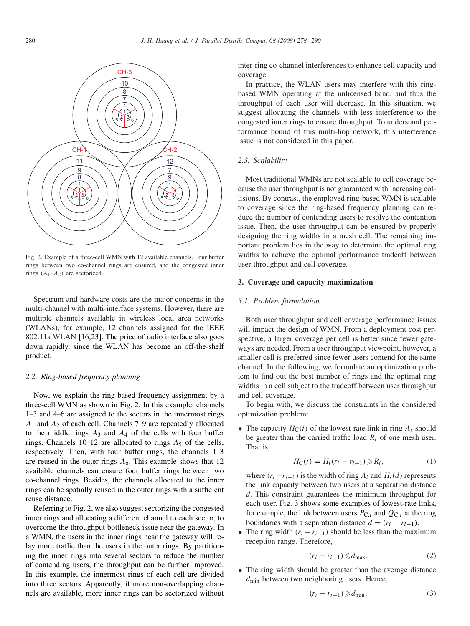

<span id="page-2-1"></span><span id="page-2-0"></span>Fig. 2. Example of a three-cell WMN with 12 available channels. Four buffer rings between two co-channel rings are ensured, and the congested inner rings  $(A_1-A_2)$  are sectorized.

<span id="page-2-2"></span>Spectrum and hardware costs are the major concerns in the multi-channel with multi-interface systems. However, there are multiple channels available in wireless local area networks (WLANs), for example, 12 channels assigned for the IEEE 802.11a WLAN [16,23]. The price of radio interface also goes down rapidly, since the WLAN has become an off-the-shelf product.

# *2.2. Ring-based frequency planning*

Now, we explain the ring-based frequency assignment by a three-cell WMN as shown in Fig. [2.](#page-2-1) In this example, channels 1.3 and 4.6 are assigned to the sectors in the innermost rings  $A_1$  and  $A_2$  of each cell. Channels 7–9 are repeatedly allocated to the middle rings  $A_3$  and  $A_4$  of the cells with four buffer rings. Channels  $10-12$  are allocated to rings  $A_5$  of the cells, respectively. Then, with four buffer rings, the channels  $1-3$ are reused in the outer rings  $A<sub>6</sub>$ . This example shows that 12 available channels can ensure four buffer rings between two co-channel rings. Besides, the channels allocated to the inner rings can be spatially reused in the outer rings with a sufficient reuse distance.

<span id="page-2-3"></span>Referring to Fig. [2,](#page-2-1) we also suggest sectorizing the congested inner rings and allocating a different channel to each sector, to overcome the throughput bottleneck issue near the gateway. In a WMN, the users in the inner rings near the gateway will relay more traffic than the users in the outer rings. By partitioning the inner rings into several sectors to reduce the number of contending users, the throughput can be further improved. In this example, the innermost rings of each cell are divided into three sectors. Apparently, if more non-overlapping channels are available, more inner rings can be sectorized without

inter-ring co-channel interferences to enhance cell capacity and coverage.

In practice, the WLAN users may interfere with this ringbased WMN operating at the unlicensed band, and thus the throughput of each user will decrease. In this situation, we suggest allocating the channels with less interference to the congested inner rings to ensure throughput. To understand performance bound of this multi-hop network, this interference issue is not considered in this paper.

# *2.3. Scalability*

Most traditional WMNs are not scalable to cell coverage because the user throughput is not guaranteed with increasing collisions. By contrast, the employed ring-based WMN is scalable to coverage since the ring-based frequency planning can reduce the number of contending users to resolve the contention issue. Then, the user throughput can be ensured by properly designing the ring widths in a mesh cell. The remaining important problem lies in the way to determine the optimal ring widths to achieve the optimal performance tradeoff between user throughput and cell coverage.

### **3. Coverage and capacity maximization**

# *3.1. Problem formulation*

Both user throughput and cell coverage performance issues will impact the design of WMN. From a deployment cost perspective, a larger coverage per cell is better since fewer gateways are needed. From a user throughput viewpoint, however, a smaller cell is preferred since fewer users contend for the same channel. In the following, we formulate an optimization problem to find out the best number of rings and the optimal ring widths in a cell subject to the tradeoff between user throughput and cell coverage.

To begin with, we discuss the constraints in the considered optimization problem:

• The capacity  $H_C(i)$  of the lowest-rate link in ring  $A_i$  should be greater than the carried traffic load  $R_i$  of one mesh user. That is,

$$
H_{\mathcal{C}}(i) = H_i(r_i - r_{i-1}) \ge R_i, \tag{1}
$$

where  $(r_i - r_{i-1})$  is the width of ring  $A_i$  and  $H_i(d)$  represents the link capacity between two users at a separation distance *d*. This constraint guarantees the minimum throughput for each user. Fig. [3](#page-3-1) shows some examples of lowest-rate links, for example, the link between users  $P_{C,i}$  and  $Q_{C,i}$  at the ring boundaries with a separation distance  $d = (r_i - r_{i-1}).$ 

• The ring width  $(r_i - r_{i-1})$  should be less than the maximum reception range. Therefore,

$$
(r_i - r_{i-1}) \leq d_{\text{max}}.\tag{2}
$$

• The ring width should be greater than the average distance  $d_{\text{min}}$  between two neighboring users. Hence,

$$
(r_i - r_{i-1}) \geq d_{\min},\tag{3}
$$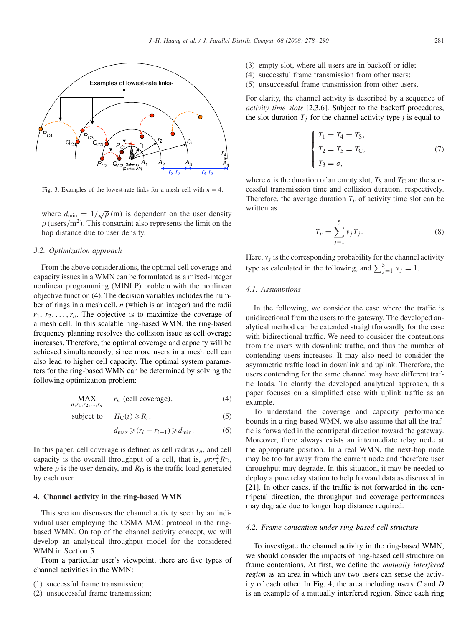

<span id="page-3-4"></span><span id="page-3-2"></span><span id="page-3-1"></span>Fig. 3. Examples of the lowest-rate links for a mesh cell with  $n = 4$ .

where  $d_{\text{min}} = 1/\sqrt{\rho}$  (m) is dependent on the user density  $\rho$  (users/m<sup>2</sup>). This constraint also represents the limit on the hop distance due to user density.

### *3.2. Optimization approach*

From the above considerations, the optimal cell coverage and capacity issues in a WMN can be formulated as a mixed-integer nonlinear programming (MINLP) problem with the nonlinear objective function [\(4\)](#page-3-2). The decision variables includes the number of rings in a mesh cell, *n* (which is an integer) and the radii  $r_1, r_2, \ldots, r_n$ . The objective is to maximize the coverage of a mesh cell. In this scalable ring-based WMN, the ring-based frequency planning resolves the collision issue as cell overage increases. Therefore, the optimal coverage and capacity will be achieved simultaneously, since more users in a mesh cell can also lead to higher cell capacity. The optimal system parameters for the ring-based WMN can be determined by solving the following optimization problem:

$$
\underset{n, r_1, r_2, \dots, r_n}{\text{MAX}} \quad r_n \text{ (cell coverage)}, \tag{4}
$$

subject to 
$$
H_C(i) \ge R_i
$$
,  $(5)$ 

$$
d_{\max} \geqslant (r_i - r_{i-1}) \geqslant d_{\min}.\tag{6}
$$

<span id="page-3-3"></span><span id="page-3-0"></span>In this paper, cell coverage is defined as cell radius  $r_n$ , and cell capacity is the overall throughput of a cell, that is,  $\rho \pi r_n^2 R_D$ , where  $\rho$  is the user density, and  $R_D$  is the traffic load generated by each user.

# **4. Channel activity in the ring-based WMN**

This section discusses the channel activity seen by an individual user employing the CSMA MAC protocol in the ringbased WMN. On top of the channel activity concept, we will develop an analytical throughput model for the considered WMN in Section [5.](#page-6-0)

From a particular user's viewpoint, there are five types of channel activities in the WMN:

- (1) successful frame transmission;
- (2) unsuccessful frame transmission;
- (3) empty slot, where all users are in backoff or idle;
- (4) successful frame transmission from other users;
- (5) unsuccessful frame transmission from other users.

For clarity, the channel activity is described by a sequence of *activity time slots* [\[2,](#page-11-12)[3,](#page-11-13)[6\].](#page-11-14) Subject to the backoff procedures, the slot duration  $T_j$  for the channel activity type *j* is equal to

$$
\begin{cases}\nT_1 = T_4 = T_S, \\
T_2 = T_5 = T_C, \\
T_3 = \sigma,\n\end{cases} (7)
$$

where  $\sigma$  is the duration of an empty slot,  $T_s$  and  $T_c$  are the successful transmission time and collision duration, respectively. Therefore, the average duration  $T_v$  of activity time slot can be written as

$$
T_v = \sum_{j=1}^{5} v_j T_j.
$$
 (8)

Here,  $v_j$  is the corresponding probability for the channel activity type as calculated in the following, and  $\sum_{j=1}^{5} v_j = 1$ .

# *4.1. Assumptions*

In the following, we consider the case where the traffic is unidirectional from the users to the gateway. The developed analytical method can be extended straightforwardly for the case with bidirectional traffic. We need to consider the contentions from the users with downlink traffic, and thus the number of contending users increases. It may also need to consider the asymmetric traffic load in downlink and uplink. Therefore, the users contending for the same channel may have different traffic loads. To clarify the developed analytical approach, this paper focuses on a simplified case with uplink traffic as an example.

To understand the coverage and capacity performance bounds in a ring-based WMN, we also assume that all the traffic is forwarded in the centripetal direction toward the gateway. Moreover, there always exists an intermediate relay node at the appropriate position. In a real WMN, the next-hop node may be too far away from the current node and therefore user throughput may degrade. In this situation, it may be needed to deploy a pure relay station to help forward data as discussed in [\[21\].](#page-11-4) In other cases, if the traffic is not forwarded in the centripetal direction, the throughput and coverage performances may degrade due to longer hop distance required.

### *4.2. Frame contention under ring-based cell structure*

To investigate the channel activity in the ring-based WMN, we should consider the impacts of ring-based cell structure on frame contentions. At first, we define the *mutually interfered region* as an area in which any two users can sense the activity of each other. In Fig. [4,](#page-4-0) the area including users *C* and *D* is an example of a mutually interfered region. Since each ring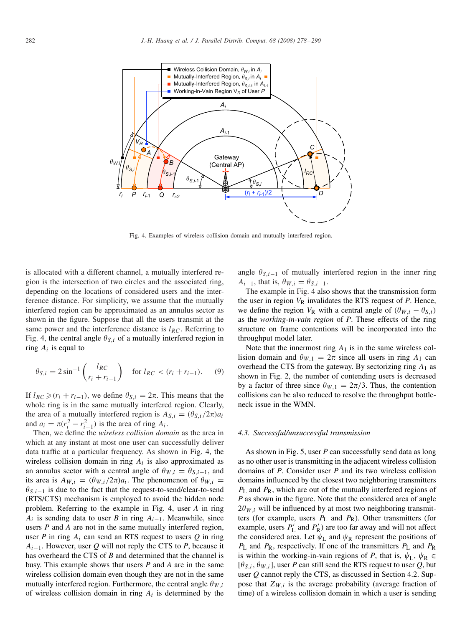

Fig. 4. Examples of wireless collision domain and mutually interfered region.

<span id="page-4-1"></span><span id="page-4-0"></span>is allocated with a different channel, a mutually interfered region is the intersection of two circles and the associated ring, depending on the locations of considered users and the interference distance. For simplicity, we assume that the mutually interfered region can be approximated as an annulus sector as shown in the figure. Suppose that all the users transmit at the same power and the interference distance is  $l_{RC}$ . Referring to Fig. [4,](#page-4-0) the central angle  $\theta_{S,i}$  of a mutually interfered region in ring  $A_i$  is equal to

$$
\theta_{S,i} = 2\sin^{-1}\left(\frac{l_{RC}}{r_i + r_{i-1}}\right) \quad \text{for } l_{RC} < (r_i + r_{i-1}).\tag{9}
$$

<span id="page-4-2"></span>If  $l_{RC} \ge (r_i + r_{i-1})$ , we define  $\theta_{S,i} = 2\pi$ . This means that the whole ring is in the same mutually interfered region. Clearly, the area of a mutually interfered region is  $A_{S,i} = (\theta_{S,i}/2\pi)a_i$ and  $a_i = \pi (r_i^2 - r_{i-1}^2)$  is the area of ring  $A_i$ .

Then, we define the *wireless collision domain* as the area in which at any instant at most one user can successfully deliver data traffic at a particular frequency. As shown in Fig. [4,](#page-4-0) the wireless collision domain in ring  $A_i$  is also approximated as an annulus sector with a central angle of  $\theta_{W,i} = \theta_{S,i-1}$ , and its area is  $A_{W,i} = (\theta_{W,i}/2\pi)a_i$ . The phenomenon of  $\theta_{W,i} =$  $\theta_{S,i-1}$  is due to the fact that the request-to-send/clear-to-send (RTS/CTS) mechanism is employed to avoid the hidden node problem. Referring to the example in Fig. [4,](#page-4-0) user *A* in ring  $A_i$  is sending data to user *B* in ring  $A_{i-1}$ . Meanwhile, since users *P* and *A* are not in the same mutually interfered region, user *P* in ring  $A_i$  can send an RTS request to users  $Q$  in ring Ai−1. However, user *Q* will not reply the CTS to *P*, because it has overheard the CTS of *B* and determined that the channel is busy. This example shows that users *P* and *A* are in the same wireless collision domain even though they are not in the same mutually interfered region. Furthermore, the central angle  $\theta_{W,i}$ of wireless collision domain in ring  $A_i$  is determined by the angle  $\theta_{S,i-1}$  of mutually interfered region in the inner ring  $A_{i-1}$ , that is,  $\theta_{W,i} = \theta_{S,i-1}$ .

The example in Fig. [4](#page-4-0) also shows that the transmission form the user in region  $V_R$  invalidates the RTS request of  $P$ . Hence, we define the region  $V_R$  with a central angle of  $(\theta_{W,i} - \theta_{S,i})$ as the *working-in-vain region* of *P*. These effects of the ring structure on frame contentions will be incorporated into the throughput model later.

Note that the innermost ring  $A_1$  is in the same wireless collision domain and  $\theta_{W,1} = 2\pi$  since all users in ring  $A_1$  can overhead the CTS from the gateway. By sectorizing ring  $A_1$  as shown in Fig. [2,](#page-2-1) the number of contending users is decreased by a factor of three since  $\theta_{W,1} = 2\pi/3$ . Thus, the contention collisions can be also reduced to resolve the throughput bottleneck issue in the WMN.

### *4.3. Successful/unsuccessful transmission*

As shown in Fig. [5,](#page-5-0) user *P* can successfully send data as long as no other user is transmitting in the adjacent wireless collision domains of *P*. Consider user *P* and its two wireless collision domains influenced by the closest two neighboring transmitters  $P_L$  and  $P_R$ , which are out of the mutually interfered regions of *P* as shown in the figure. Note that the considered area of angle  $2\theta_{W,i}$  will be influenced by at most two neighboring transmitters (for example, users  $P_L$  and  $P_R$ ). Other transmitters (for example, users  $P'_{\rm L}$  and  $P'_{\rm R}$ ) are too far away and will not affect the considered area. Let  $\psi_L$  and  $\psi_R$  represent the positions of  $P_L$  and  $P_R$ , respectively. If one of the transmitters  $P_L$  and  $P_R$ is within the working-in-vain regions of *P*, that is,  $\psi_{I}$ ,  $\psi_{R} \in$  $[\theta_{S,i}, \theta_{W,i}]$ , user *P* can still send the RTS request to user *Q*, but user *Q* cannot reply the CTS, as discussed in Section [4.2.](#page-3-3) Suppose that  $Z_{W,i}$  is the average probability (average fraction of time) of a wireless collision domain in which a user is sending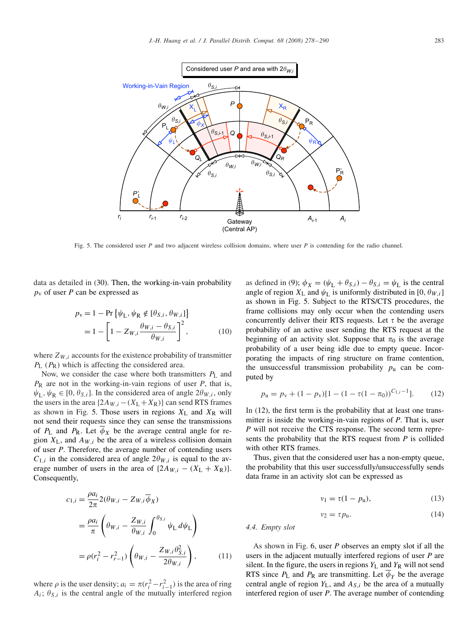

<span id="page-5-0"></span>Fig. 5. The considered user P and two adjacent wireless collision domains, where user P is contending for the radio channel.

<span id="page-5-1"></span>data as detailed in [\(30\)](#page-8-1). Then, the working-in-vain probability  $p_v$  of user *P* can be expressed as

$$
p_{v} = 1 - \Pr \{ \psi_{L}, \psi_{R} \notin [\theta_{S,i}, \theta_{W,i}] \}
$$
  
= 1 - \left[ 1 - Z\_{W,i} \frac{\theta\_{W,i} - \theta\_{S,i}}{\theta\_{W,i}} \right]^{2}, (10)

where  $Z_{W,i}$  accounts for the existence probability of transmitter  $P_L$  ( $P_R$ ) which is affecting the considered area.

Now, we consider the case where both transmitters  $P_L$  and  $P_R$  are not in the working-in-vain regions of user  $P$ , that is,  $\psi_L, \psi_R \in [0, \theta_{S,i}]$ . In the considered area of angle  $2\theta_{W,i}$ , only the users in the area  $\{2A_{W,i} - (X_L + X_R)\}\)$  can send RTS frames as shown in Fig. [5.](#page-5-0) Those users in regions  $X_L$  and  $X_R$  will not send their requests since they can sense the transmissions of  $P_L$  and  $P_R$ . Let  $\overline{\phi}_X$  be the average central angle for region  $X_{\text{L}}$ , and  $A_{W,i}$  be the area of a wireless collision domain of user *P*. Therefore, the average number of contending users  $C_{1,i}$  in the considered area of angle  $2\theta_{W,i}$  is equal to the average number of users in the area of  $\{2A_{W,i} - (X_L + X_R)\}.$ Consequently,

$$
c_{1,i} = \frac{\rho a_i}{2\pi} 2(\theta w_{,i} - Zw_{,i} \overline{\phi}_X)
$$
  

$$
= \frac{\rho a_i}{\pi} \left( \theta w_{,i} - \frac{Zw_{,i}}{\theta w_{,i}} \int_0^{\theta s_{,i}} \psi_L d\psi_L \right)
$$
  

$$
= \rho (r_i^2 - r_{r-1}^2) \left( \theta w_{,i} - \frac{Zw_{,i} \theta_{S,i}^2}{2\theta w_{,i}} \right), \qquad (11)
$$

where  $\rho$  is the user density;  $a_i = \pi (r_i^2 - r_{i-1}^2)$  is the area of ring  $A_i$ ;  $\theta_{S,i}$  is the central angle of the mutually interfered region as defined in [\(9\)](#page-4-1);  $\phi_X = (\psi_L + \theta_{S,i}) - \theta_{S,i} = \psi_L$  is the central angle of region  $X_L$  and  $\psi_L$  is uniformly distributed in [0,  $\theta_{W,i}$ ] as shown in Fig. [5.](#page-5-0) Subject to the RTS/CTS procedures, the frame collisions may only occur when the contending users concurrently deliver their RTS requests. Let  $\tau$  be the average probability of an active user sending the RTS request at the beginning of an activity slot. Suppose that  $\pi_0$  is the average probability of a user being idle due to empty queue. Incorporating the impacts of ring structure on frame contention, the unsuccessful transmission probability  $p_u$  can be computed by

$$
p_{\mathbf{u}} = p_{\mathbf{v}} + (1 - p_{\mathbf{v}})[1 - (1 - \tau(1 - \pi_0))^{C_{1,i} - 1}].
$$
 (12)

In [\(12\)](#page-5-1), the first term is the probability that at least one transmitter is inside the working-in-vain regions of *P*. That is, user *P* will not receive the CTS response. The second term represents the probability that the RTS request from *P* is collided with other RTS frames.

Thus, given that the considered user has a non-empty queue, the probability that this user successfully/unsuccessfully sends data frame in an activity slot can be expressed as

$$
v_1 = \tau(1 - p_u),\tag{13}
$$

$$
v_2 = \tau p_u. \tag{14}
$$

# *4.4. Empty slot*

As shown in Fig. [6,](#page-6-1) user *P* observes an empty slot if all the users in the adjacent mutually interfered regions of user *P* are silent. In the figure, the users in regions  $Y_L$  and  $Y_R$  will not send RTS since  $P_L$  and  $P_R$  are transmitting. Let  $\overline{\phi}_Y$  be the average central angle of region  $Y_L$ , and  $A_{S,i}$  be the area of a mutually interfered region of user *P*. The average number of contending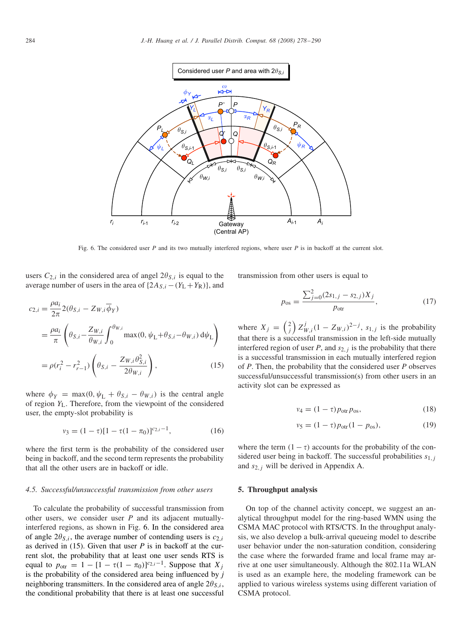

Fig. 6. The considered user *P* and its two mutually interfered regions, where user *P* is in backoff at the current slot.

<span id="page-6-1"></span>users  $C_{2,i}$  in the considered area of angel  $2\theta_{S,i}$  is equal to the average number of users in the area of  $\{2A_{S,i} - (Y_L + Y_R)\}\$ , and

$$
c_{2,i} = \frac{\rho a_i}{2\pi} 2(\theta_{S,i} - Z_{W,i} \overline{\phi}_Y)
$$
  
=  $\frac{\rho a_i}{\pi} \left( \theta_{S,i} - \frac{Z_{W,i}}{\theta_{W,i}} \int_0^{\theta_{W,i}} \max(0, \psi_L + \theta_{S,i} - \theta_{W,i}) d\psi_L \right)$   
=  $\rho(r_i^2 - r_{r-1}^2) \left( \theta_{S,i} - \frac{Z_{W,i} \theta_{S,i}^2}{2\theta_{W,i}} \right),$  (15)

where  $\phi_Y = \max(0, \psi_L + \theta_{S,i} - \theta_{W,i})$  is the central angle of region  $Y_L$ . Therefore, from the viewpoint of the considered user, the empty-slot probability is

$$
v_3 = (1 - \tau)[1 - \tau(1 - \pi_0)]^{c_{2,i} - 1}, \tag{16}
$$

<span id="page-6-2"></span><span id="page-6-0"></span>where the first term is the probability of the considered user being in backoff, and the second term represents the probability that all the other users are in backoff or idle.

### *4.5. Successful/unsuccessful transmission from other users*

To calculate the probability of successful transmission from other users, we consider user *P* and its adjacent mutuallyinterfered regions, as shown in Fig. [6.](#page-6-1) In the considered area of angle  $2\theta_{S,i}$ , the average number of contending users is  $c_{2,i}$ as derived in [\(15\)](#page-6-1). Given that user *P* is in backoff at the current slot, the probability that at least one user sends RTS is equal to  $p_{\text{otr}} = 1 - [1 - \tau(1 - \pi_0)]^{c_{2,i} - 1}$ . Suppose that  $X_j$ is the probability of the considered area being influenced by *j* neighboring transmitters. In the considered area of angle  $2\theta_{S,i}$ , the conditional probability that there is at least one successful

transmission from other users is equal to

$$
p_{\text{os}} = \frac{\sum_{j=0}^{2} (2s_{1,j} - s_{2,j})X_j}{p_{\text{otr}}},
$$
\n(17)

where  $X_j = \begin{pmatrix} 2 \\ j \end{pmatrix}$ j  $\left( \sum_{m,i}^j (1 - Z_{W,i})^{2-j}, s_{1,j} \right)$  is the probability that there is a successful transmission in the left-side mutually interfered region of user  $P$ , and  $s_{2,i}$  is the probability that there is a successful transmission in each mutually interfered region of *P*. Then, the probability that the considered user *P* observes successful/unsuccessful transmission(s) from other users in an activity slot can be expressed as

$$
v_4 = (1 - \tau) p_{\text{otr}} p_{\text{os}}, \tag{18}
$$

$$
v_5 = (1 - \tau) p_{\text{otr}} (1 - p_{\text{os}}), \tag{19}
$$

where the term  $(1 - \tau)$  accounts for the probability of the considered user being in backoff. The successful probabilities  $s_{1,j}$ and  $s_{2,i}$  will be derived in Appendix A.

### **5. Throughput analysis**

On top of the channel activity concept, we suggest an analytical throughput model for the ring-based WMN using the CSMA MAC protocol with RTS/CTS. In the throughput analysis, we also develop a bulk-arrival queueing model to describe user behavior under the non-saturation condition, considering the case where the forwarded frame and local frame may arrive at one user simultaneously. Although the 802.11a WLAN is used as an example here, the modeling framework can be applied to various wireless systems using different variation of CSMA protocol.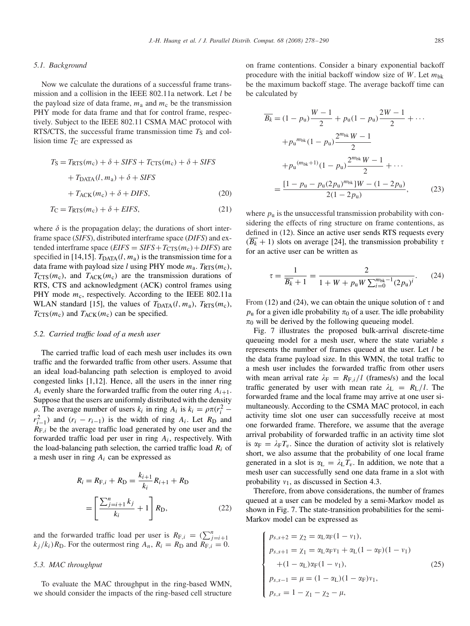### *5.1. Background*

Now we calculate the durations of a successful frame transmission and a collision in the IEEE 802.11a network. Let *l* be the payload size of data frame,  $m_a$  and  $m_c$  be the transmission PHY mode for data frame and that for control frame, respectively. Subject to the IEEE 802.11 CSMA MAC protocol with RTS/CTS, the successful frame transmission time  $T<sub>S</sub>$  and collision time  $T_{\rm C}$  are expressed as

$$
T_{\rm S} = T_{\rm RTS}(m_{\rm c}) + \delta + SIFS + T_{\rm CTS}(m_{\rm c}) + \delta + SIFS
$$
  
+ 
$$
T_{\rm DATA}(l, m_{\rm a}) + \delta + SIFS
$$
  
+ 
$$
T_{\rm ACK}(m_{\rm c}) + \delta + DIFS,
$$
 (20)

$$
T_{\rm C} = T_{\rm RTS}(m_{\rm c}) + \delta + EIFS,
$$
\n(21)

where  $\delta$  is the propagation delay; the durations of short interframe space (*SIFS*), distributed interframe space (*DIFS*) and extended interframe space  $(EIFS = SIFS + T_{CTS}(m_c) + DIFS)$  are specified in [\[14](#page-11-15)[,15\].](#page-11-16)  $T_{\text{DATA}}(l, m_a)$  is the transmission time for a data frame with payload size *l* using PHY mode  $m_a$ .  $T_{RTS}(m_c)$ ,  $T_{\text{CTS}}(m_c)$ , and  $T_{\text{ACK}}(m_c)$  are the transmission durations of RTS, CTS and acknowledgment (ACK) control frames using PHY mode  $m_c$ , respectively. According to the IEEE 802.11a WLAN standard [\[15\],](#page-11-16) the values of  $T_{\text{DATA}}(l, m_a)$ ,  $T_{\text{RTS}}(m_c)$ ,  $T_{\text{CTS}}(m_c)$  and  $T_{\text{ACK}}(m_c)$  can be specified.

# *5.2. Carried traffic load of a mesh user*

The carried traffic load of each mesh user includes its own traffic and the forwarded traffic from other users. Assume that an ideal load-balancing path selection is employed to avoid congested links [\[1](#page-11-1)[,12\].](#page-11-17) Hence, all the users in the inner ring  $A_i$  evenly share the forwarded traffic from the outer ring  $A_{i+1}$ . Suppose that the users are uniformly distributed with the density  $\rho$ . The average number of users  $k_i$  in ring  $A_i$  is  $k_i = \rho \pi (r_i^2 - )$  $r_{i-1}^2$ ) and  $(r_i - r_{i-1})$  is the width of ring  $A_i$ . Let  $R_D$  and  $R_{F,i}$  be the average traffic load generated by one user and the forwarded traffic load per user in ring  $A_i$ , respectively. With the load-balancing path selection, the carried traffic load  $R_i$  of a mesh user in ring  $A_i$  can be expressed as

$$
R_{i} = R_{F,i} + R_{D} = \frac{k_{i+1}}{k_{i}} R_{i+1} + R_{D}
$$

$$
= \left[ \frac{\sum_{j=i+1}^{n} k_{j}}{k_{i}} + 1 \right] R_{D}, \qquad (22)
$$

<span id="page-7-0"></span>and the forwarded traffic load per user is  $R_{F,i} = (\sum_{j=i+1}^{n} A_{j}^{n})$  $k_j / k_i$ ) $R_D$ . For the outermost ring  $A_n$ ,  $R_i = R_D$  and  $R_{F,i} = 0$ .

### *5.3. MAC throughput*

To evaluate the MAC throughput in the ring-based WMN, we should consider the impacts of the ring-based cell structure on frame contentions. Consider a binary exponential backoff procedure with the initial backoff window size of W. Let  $m_{\text{bk}}$ be the maximum backoff stage. The average backoff time can be calculated by

$$
\overline{B_k} = (1 - p_u) \frac{W - 1}{2} + p_u (1 - p_u) \frac{2W - 1}{2} + \cdots
$$
  
+ 
$$
p_u^{m_{bk}} (1 - p_u) \frac{2^{m_{bk}} W - 1}{2}
$$
  
+ 
$$
p_u^{(m_{bk}+1)} (1 - p_u) \frac{2^{m_{bk}} W - 1}{2} + \cdots
$$
  
= 
$$
\frac{[1 - p_u - p_u (2p_u)^{m_{bk}}]W - (1 - 2p_u)}{2(1 - 2p_u)},
$$
(23)

where  $p_u$  is the unsuccessful transmission probability with considering the effects of ring structure on frame contentions, as defined in [\(12\)](#page-5-1). Since an active user sends RTS requests every  $(\overline{B_k} + 1)$  slots on average [\[24\],](#page-11-18) the transmission probability  $\tau$ for an active user can be written as

$$
\tau = \frac{1}{\overline{B_k} + 1} = \frac{2}{1 + W + p_u W \sum_{i=0}^{m_{\text{bk}} - 1} (2p_u)^i}.
$$
 (24)

From [\(12\)](#page-5-1) and [\(24\)](#page-7-0), we can obtain the unique solution of  $\tau$  and  $p_{\rm u}$  for a given idle probability  $\pi_0$  of a user. The idle probability  $\pi_0$  will be derived by the following queueing model.

Fig. [7](#page-8-2) illustrates the proposed bulk-arrival discrete-time queueing model for a mesh user, where the state variable *s* represents the number of frames queued at the user. Let *l* be the data frame payload size. In this WMN, the total traffic to a mesh user includes the forwarded traffic from other users with mean arrival rate  $\lambda_F = R_{F,i}/l$  (frames/s) and the local traffic generated by user with mean rate  $\lambda_L = R_L/l$ . The forwarded frame and the local frame may arrive at one user simultaneously. According to the CSMA MAC protocol, in each activity time slot one user can successfully receive at most one forwarded frame. Therefore, we assume that the average arrival probability of forwarded traffic in an activity time slot is  $\alpha_F = \lambda_F T_v$ . Since the duration of activity slot is relatively short, we also assume that the probability of one local frame generated in a slot is  $\alpha_L = \lambda_L T_v$ . In addition, we note that a mesh user can successfully send one data frame in a slot with probability  $v_1$ , as discussed in Section [4.3.](#page-4-2)

Therefore, from above considerations, the number of frames queued at a user can be modeled by a semi-Markov model as shown in Fig. [7.](#page-8-2) The state-transition probabilities for the semi-Markov model can be expressed as

$$
\begin{cases}\np_{s,s+2} = \chi_2 = \alpha_L \alpha_F (1 - v_1), \\
p_{s,s+1} = \chi_1 = \alpha_L \alpha_F v_1 + \alpha_L (1 - \alpha_F) (1 - v_1) \\
+ (1 - \alpha_L) \alpha_F (1 - v_1), \\
p_{s,s-1} = \mu = (1 - \alpha_L) (1 - \alpha_F) v_1, \\
p_{s,s} = 1 - \chi_1 - \chi_2 - \mu,\n\end{cases}
$$
\n(25)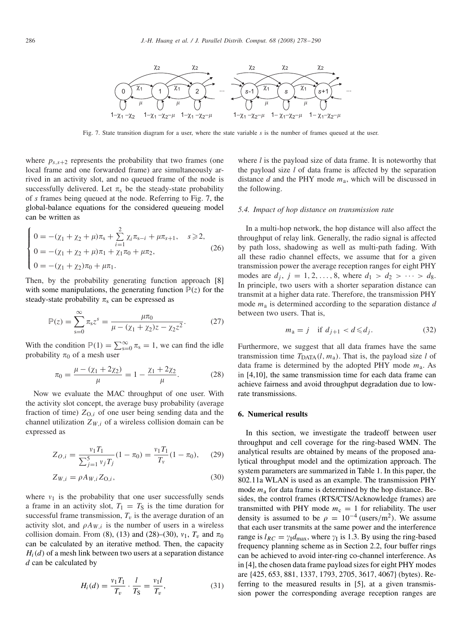

Fig. 7. State transition diagram for a user, where the state variable *s* is the number of frames queued at the user.

<span id="page-8-2"></span>where  $p_{s,s+2}$  represents the probability that two frames (one local frame and one forwarded frame) are simultaneously arrived in an activity slot, and no queued frame of the node is successfully delivered. Let  $\pi_s$  be the steady-state probability of *s* frames being queued at the node. Referring to Fig. [7,](#page-8-2) the global-balance equations for the considered queueing model can be written as

$$
\begin{cases}\n0 = -(\chi_1 + \chi_2 + \mu)\pi_s + \sum_{i=1}^2 \chi_i \pi_{s-i} + \mu \pi_{s+1}, \quad s \ge 2, \\
0 = -(\chi_1 + \chi_2 + \mu)\pi_1 + \chi_1 \pi_0 + \mu \pi_2, \\
0 = -(\chi_1 + \chi_2)\pi_0 + \mu \pi_1.\n\end{cases} (26)
$$

<span id="page-8-1"></span>Then, by the probability generating function approach [\[8\]](#page-11-20) with some manipulations, the generating function  $P(z)$  for the steady-state probability  $\pi_s$  can be expressed as

$$
\mathbb{P}(z) = \sum_{s=0}^{\infty} \pi_s z^s = \frac{\mu \pi_0}{\mu - (\chi_1 + \chi_2)z - \chi_2 z^2}.
$$
 (27)

<span id="page-8-0"></span>With the condition  $\mathbb{P}(1) = \sum_{s=0}^{\infty} \pi_s = 1$ , we can find the idle probability  $\pi_0$  of a mesh user

$$
\pi_0 = \frac{\mu - (\chi_1 + 2\chi_2)}{\mu} = 1 - \frac{\chi_1 + 2\chi_2}{\mu}.
$$
 (28)

Now we evaluate the MAC throughput of one user. With the activity slot concept, the average busy probability (average fraction of time)  $Z_{0,i}$  of one user being sending data and the channel utilization  $Z_{W,i}$  of a wireless collision domain can be expressed as

$$
Z_{O,i} = \frac{v_1 T_1}{\sum_{j=1}^5 v_j T_j} (1 - \pi_0) = \frac{v_1 T_1}{T_v} (1 - \pi_0), \quad (29)
$$

$$
Z_{W,i} = \rho A_{W,i} Z_{\text{O},i},\tag{30}
$$

where  $v_1$  is the probability that one user successfully sends a frame in an activity slot,  $T_1 = T_S$  is the time duration for successful frame transmission,  $T<sub>v</sub>$  is the average duration of an activity slot, and  $\rho A_{W,i}$  is the number of users in a wireless collision domain. From [\(8\)](#page-3-4), [\(13\)](#page-5-1) and [\(28\)](#page-8-1)–[\(30\)](#page-8-1),  $v_1$ ,  $T_v$  and  $\pi_0$ can be calculated by an iterative method. Then, the capacity  $H_i(d)$  of a mesh link between two users at a separation distance *d* can be calculated by

$$
H_i(d) = \frac{v_1 T_1}{T_v} \cdot \frac{l}{T_S} = \frac{v_1 l}{T_v},
$$
\n(31)

where *l* is the payload size of data frame. It is noteworthy that the payload size *l* of data frame is affected by the separation distance  $d$  and the PHY mode  $m_a$ , which will be discussed in the following.

#### *5.4. Impact of hop distance on transmission rate*

In a multi-hop network, the hop distance will also affect the throughput of relay link. Generally, the radio signal is affected by path loss, shadowing as well as multi-path fading. With all these radio channel effects, we assume that for a given transmission power the average reception ranges for eight PHY modes are  $d_j$ ,  $j = 1, 2, ..., 8$ , where  $d_1 > d_2 > ... > d_8$ . In principle, two users with a shorter separation distance can transmit at a higher data rate. Therefore, the transmission PHY mode m<sup>a</sup> is determined according to the separation distance *d* between two users. That is,

$$
m_{\mathbf{a}} = j \quad \text{if } d_{j+1} < d \leq d_j. \tag{32}
$$

Furthermore, we suggest that all data frames have the same transmission time  $T_{\text{DATA}}(l, m_a)$ . That is, the payload size *l* of data frame is determined by the adopted PHY mode  $m_a$ . As in [\[4](#page-11-21)[,10\],](#page-11-22) the same transmission time for each data frame can achieve fairness and avoid throughput degradation due to lowrate transmissions.

# **6. Numerical results**

In this section, we investigate the tradeoff between user throughput and cell coverage for the ring-based WMN. The analytical results are obtained by means of the proposed analytical throughput model and the optimization approach. The system parameters are summarized in Table [1.](#page-9-0) In this paper, the 802.11a WLAN is used as an example. The transmission PHY mode  $m_a$  for data frame is determined by the hop distance. Besides, the control frames (RTS/CTS/Acknowledge frames) are transmitted with PHY mode  $m_c = 1$  for reliability. The user density is assumed to be  $\rho = 10^{-4}$  (users/m<sup>2</sup>). We assume that each user transmits at the same power and the interference range is  $l_{RC} = \gamma_1 d_{\text{max}}$ , where  $\gamma_1$  is 1.3. By using the ring-based frequency planning scheme as in Section [2.2,](#page-2-2) four buffer rings can be achieved to avoid inter-ring co-channel interference. As in [\[4\],](#page-11-21) the chosen data frame payload sizes for eight PHY modes are {425, 653, 881, 1337, 1793, 2705, 3617, 4067}(bytes). Referring to the measured results in [\[5\],](#page-11-19) at a given transmission power the corresponding average reception ranges are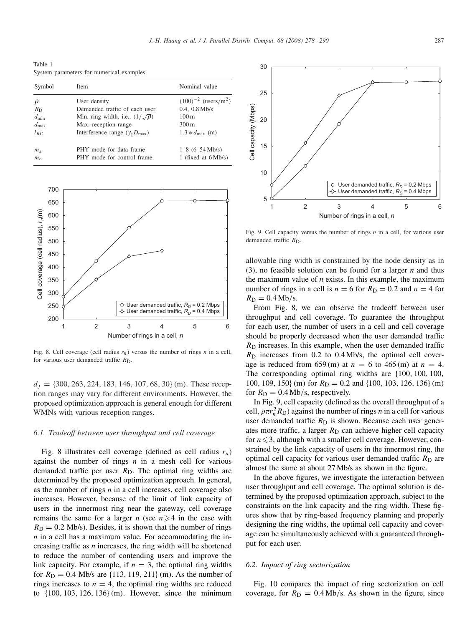<span id="page-9-0"></span>Table 1 System parameters for numerical examples

| Symbol           | Item                                           | Nominal value                        |
|------------------|------------------------------------------------|--------------------------------------|
|                  | User density                                   | $(100)^{-2}$ (users/m <sup>2</sup> ) |
| $R_{\rm D}$      | Demanded traffic of each user                  | $0.4, 0.8$ Mb/s                      |
| $d_{\min}$       | Min. ring width, i.e., $(1/\sqrt{\rho})$       | $100 \,\mathrm{m}$                   |
| $d_{\text{max}}$ | Max. reception range                           | $300 \,\mathrm{m}$                   |
| $l_{RC}$         | Interference range $(\gamma_1 D_{\text{max}})$ | $1.3 * d_{\text{max}}$ (m)           |
| m <sub>a</sub>   | PHY mode for data frame                        | $1-8$ $(6-54 \text{ Mb/s})$          |
| $m_c$            | PHY mode for control frame                     | 1 (fixed at $6$ Mb/s)                |

<span id="page-9-2"></span>

<span id="page-9-1"></span>Fig. 8. Cell coverage (cell radius  $r_n$ ) versus the number of rings *n* in a cell, for various user demanded traffic  $R_D$ .

 $d_i = \{300, 263, 224, 183, 146, 107, 68, 30\}$  (m). These reception ranges may vary for different environments. However, the proposed optimization approach is general enough for different WMNs with various reception ranges.

# *6.1. Tradeoff between user throughput and cell coverage*

Fig. [8](#page-9-1) illustrates cell coverage (defined as cell radius  $r_n$ ) against the number of rings *n* in a mesh cell for various demanded traffic per user  $R<sub>D</sub>$ . The optimal ring widths are determined by the proposed optimization approach. In general, as the number of rings *n* in a cell increases, cell coverage also increases. However, because of the limit of link capacity of users in the innermost ring near the gateway, cell coverage remains the same for a larger *n* (see  $n \geq 4$  in the case with  $R_D = 0.2$  Mb/s). Besides, it is shown that the number of rings *n* in a cell has a maximum value. For accommodating the increasing traffic as *n* increases, the ring width will be shortened to reduce the number of contending users and improve the link capacity. For example, if  $n = 3$ , the optimal ring widths for  $R_D = 0.4$  Mb/s are {113, 119, 211} (m). As the number of rings increases to  $n = 4$ , the optimal ring widths are reduced to {100, 103, 126, 136}(m). However, since the minimum



Fig. 9. Cell capacity versus the number of rings *n* in a cell, for various user demanded traffic  $R_D$ .

allowable ring width is constrained by the node density as in [\(3\)](#page-2-3), no feasible solution can be found for a larger *n* and thus the maximum value of *n* exists. In this example, the maximum number of rings in a cell is  $n = 6$  for  $R<sub>D</sub> = 0.2$  and  $n = 4$  for  $R_D = 0.4$  Mb/s.

From Fig. [8,](#page-9-1) we can observe the tradeoff between user throughput and cell coverage. To guarantee the throughput for each user, the number of users in a cell and cell coverage should be properly decreased when the user demanded traffic  $R<sub>D</sub>$  increases. In this example, when the user demanded traffic  $R<sub>D</sub>$  increases from 0.2 to 0.4 Mb/s, the optimal cell coverage is reduced from  $659 \text{ (m)}$  at  $n = 6$  to  $465 \text{ (m)}$  at  $n = 4$ . The corresponding optimal ring widths are {100, 100, 100, 100, 109, 150} (m) for  $R_D = 0.2$  and {100, 103, 126, 136} (m) for  $R_D = 0.4$  Mb/s, respectively.

In Fig. [9,](#page-9-2) cell capacity (defined as the overall throughput of a cell,  $\rho \pi r_n^2 R_D$ ) against the number of rings *n* in a cell for various user demanded traffic  $R<sub>D</sub>$  is shown. Because each user generates more traffic, a larger  $R_D$  can achieve higher cell capacity for  $n \leq 3$ , although with a smaller cell coverage. However, constrained by the link capacity of users in the innermost ring, the optimal cell capacity for various user demanded traffic  $R_D$  are almost the same at about 27 Mb/s as shown in the figure.

In the above figures, we investigate the interaction between user throughput and cell coverage. The optimal solution is determined by the proposed optimization approach, subject to the constraints on the link capacity and the ring width. These figures show that by ring-based frequency planning and properly designing the ring widths, the optimal cell capacity and coverage can be simultaneously achieved with a guaranteed throughput for each user.

### *6.2. Impact of ring sectorization*

Fig. [10](#page-10-1) compares the impact of ring sectorization on cell coverage, for  $R_D = 0.4 \text{ Mb/s}$ . As shown in the figure, since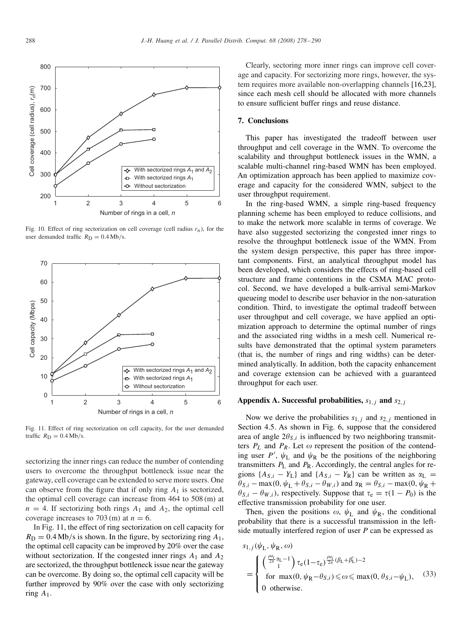<span id="page-10-0"></span>

<span id="page-10-1"></span>Fig. 10. Effect of ring sectorization on cell coverage (cell radius  $r_n$ ), for the user demanded traffic  $R_D = 0.4$  Mb/s.



<span id="page-10-3"></span><span id="page-10-2"></span>Fig. 11. Effect of ring sectorization on cell capacity, for the user demanded traffic  $R_D = 0.4$  Mb/s.

sectorizing the inner rings can reduce the number of contending users to overcome the throughput bottleneck issue near the gateway, cell coverage can be extended to serve more users. One can observe from the figure that if only ring  $A_1$  is sectorized, the optimal cell coverage can increase from 464 to 508 (m) at  $n = 4$ . If sectorizing both rings  $A_1$  and  $A_2$ , the optimal cell coverage increases to 703 (m) at  $n = 6$ .

In Fig. [11,](#page-10-2) the effect of ring sectorization on cell capacity for  $R_D = 0.4$  Mb/s is shown. In the figure, by sectorizing ring  $A_1$ , the optimal cell capacity can be improved by 20% over the case without sectorization. If the congested inner rings  $A_1$  and  $A_2$ are sectorized, the throughput bottleneck issue near the gateway can be overcome. By doing so, the optimal cell capacity will be further improved by 90% over the case with only sectorizing ring  $A_1$ .

Clearly, sectoring more inner rings can improve cell coverage and capacity. For sectorizing more rings, however, the system requires more available non-overlapping channels [16,23], since each mesh cell should be allocated with more channels to ensure sufficient buffer rings and reuse distance.

# **7. Conclusions**

This paper has investigated the tradeoff between user throughput and cell coverage in the WMN. To overcome the scalability and throughput bottleneck issues in the WMN, a scalable multi-channel ring-based WMN has been employed. An optimization approach has been applied to maximize coverage and capacity for the considered WMN, subject to the user throughput requirement.

In the ring-based WMN, a simple ring-based frequency planning scheme has been employed to reduce collisions, and to make the network more scalable in terms of coverage. We have also suggested sectorizing the congested inner rings to resolve the throughput bottleneck issue of the WMN. From the system design perspective, this paper has three important components. First, an analytical throughput model has been developed, which considers the effects of ring-based cell structure and frame contentions in the CSMA MAC protocol. Second, we have developed a bulk-arrival semi-Markov queueing model to describe user behavior in the non-saturation condition. Third, to investigate the optimal tradeoff between user throughput and cell coverage, we have applied an optimization approach to determine the optimal number of rings and the associated ring widths in a mesh cell. Numerical results have demonstrated that the optimal system parameters (that is, the number of rings and ring widths) can be determined analytically. In addition, both the capacity enhancement and coverage extension can be achieved with a guaranteed throughput for each user.

# **Appendix A. Successful probabilities,**  $s_{1,j}$  and  $s_{2,j}$

Now we derive the probabilities  $s_{1,j}$  and  $s_{2,j}$  mentioned in Section [4.5.](#page-6-2) As shown in Fig. [6,](#page-6-1) suppose that the considered area of angle  $2\theta_{S,i}$  is influenced by two neighboring transmitters  $P_L$  and  $P_R$ . Let  $\omega$  represent the position of the contending user P',  $\psi_L$  and  $\psi_R$  be the positions of the neighboring transmitters  $P_L$  and  $P_R$ . Accordingly, the central angles for regions { $A_{S,i} - Y_L$ } and { $A_{S,i} - Y_R$ } can be written as  $\alpha_L$  =  $\theta_{S,i}$  – max(0,  $\psi_L + \theta_{S,i} - \theta_{W,i}$ ) and  $\alpha_R = \theta_{S,i}$  – max(0,  $\psi_R$  +  $\theta_{S,i} - \theta_{W,i}$ ), respectively. Suppose that  $\tau_e = \tau(1 - P_0)$  is the effective transmission probability for one user.

Then, given the positions  $\omega$ ,  $\psi_L$  and  $\psi_R$ , the conditional probability that there is a successful transmission in the leftside mutually interfered region of user *P* can be expressed as

$$
s_{1,j}(\psi_L, \psi_R, \omega)
$$
\n
$$
= \begin{cases}\n\begin{pmatrix}\n\frac{\rho a_i}{2\pi} \alpha_L - 1 \\
1\n\end{pmatrix} \tau_e (1 - \tau_e) \frac{\rho a_i}{2\pi} (\beta_L + \beta'_L) - 2 \\
\text{for } \max(0, \psi_R - \theta_{S,i}) \leq \omega \leq \max(0, \theta_{S,i} - \psi_L), \\
0 \text{ otherwise.} \n\end{cases} (33)
$$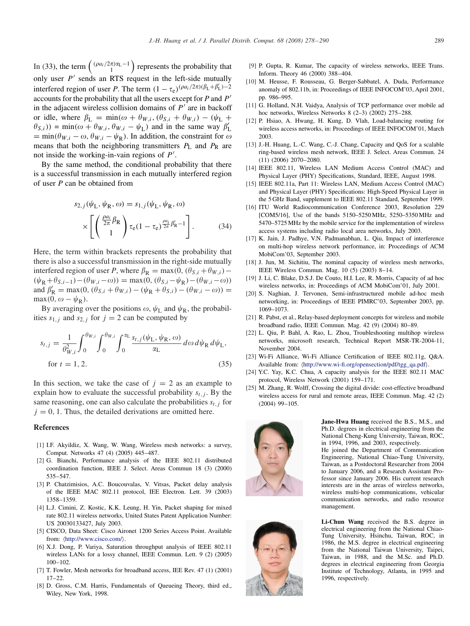<span id="page-11-22"></span><span id="page-11-17"></span><span id="page-11-11"></span><span id="page-11-8"></span><span id="page-11-7"></span>In [\(33\)](#page-10-3), the term  $\binom{(\rho a_i/2\pi)\alpha_{L}-1}{1}$ ) represents the probability that only user  $P'$  sends an RTS request in the left-side mutually interfered region of user *P*. The term  $(1 - \tau_e)^{(\rho a_i/2\pi)(\beta_L + \beta'_L) - 2}$ accounts for the probability that all the users except for  $P$  and  $P'$ in the adjacent wireless collision domains of  $P'$  are in backoff or idle, where  $\beta_L = \min(\omega + \theta_{W,i}, (\theta_{S,i} + \theta_{W,i}) - (\psi_L +$  $(\theta_{S,i})) = \min(\omega + \theta_{W,i}, \theta_{W,i} - \psi_L)$  and in the same way  $\beta'_{L}$  $= min(\theta_{W,i} - \omega, \theta_{W,i} - \psi_R)$ . In addition, the constraint for  $\omega$ means that both the neighboring transmitters  $P_L$  and  $P_R$  are not inside the working-in-vain regions of  $P'$ .

<span id="page-11-16"></span><span id="page-11-15"></span><span id="page-11-0"></span>By the same method, the conditional probability that there is a successful transmission in each mutually interfered region of user *P* can be obtained from

$$
s_{2,j}(\psi_L, \psi_R, \omega) = s_{1,j}(\psi_L, \psi_R, \omega)
$$

$$
\times \left[ \left( \frac{\frac{\rho a_i}{2\pi} \beta_R}{1} \right) \tau_e (1 - \tau_e)^{\frac{\rho a_i}{2\pi} \beta_R' - 1} \right].
$$
 (34)

<span id="page-11-10"></span><span id="page-11-9"></span><span id="page-11-4"></span><span id="page-11-3"></span>Here, the term within brackets represents the probability that there is also a successful transmission in the right-side mutually interfered region of user *P*, where  $\beta_R = \max(0, (\theta_{S,i} + \theta_{W,i}) (\psi_{R}+\theta_{S,i-1})-(\theta_{W,i}-\omega)) = \max(0, (\theta_{S,i}-\psi_{R})-(\theta_{W,i}-\omega))$ and  $\beta'_{\mathbf{R}} = \max(0, (\theta_{S,i} + \theta_{W,i}) - (\psi_{\mathbf{R}} + \theta_{S,i}) - (\theta_{W,i} - \omega)) =$  $max(0, \omega - \psi_R)$ .

<span id="page-11-18"></span><span id="page-11-5"></span>By averaging over the positions  $\omega$ ,  $\psi_L$  and  $\psi_R$ , the probabilities  $s_{1,j}$  and  $s_{2,j}$  for  $j = 2$  can be computed by

<span id="page-11-6"></span>
$$
s_{t,j} = \frac{1}{\theta_{W,i}^2} \int_0^{\theta_{W,i}} \int_0^{\theta_{W,i}} \int_0^{\alpha_L} \frac{s_{t,j}(\psi_L, \psi_R, \omega)}{\alpha_L} d\omega d\psi_R d\psi_L,
$$
  
for  $t = 1, 2$ . (35)

<span id="page-11-1"></span>In this section, we take the case of  $j = 2$  as an example to explain how to evaluate the successful probability  $s_{t,j}$ . By the same reasoning, one can also calculate the probabilities  $s_t$  i for  $j = 0, 1$ . Thus, the detailed derivations are omitted here.

#### <span id="page-11-13"></span><span id="page-11-12"></span>References

- [1] I.F. Akyildiz, X. Wang, W. Wang, Wireless mesh networks: a survey, Comput. Networks 47 (4) (2005) 445–487.
- <span id="page-11-21"></span>[2] G. Bianchi, Performance analysis of the IEEE 802.11 distributed coordination function, IEEE J. Select. Areas Commun 18 (3) (2000) 535–547.
- <span id="page-11-19"></span><span id="page-11-14"></span>[3] P. Chatzimisios, A.C. Boucouvalas, V. Vitsas, Packet delay analysis of the IEEE MAC 802.11 protocol, IEE Electron. Lett. 39 (2003) 1358–1359.
- <span id="page-11-2"></span>[4] L.J. Cimini, Z. Kostic, K.K. Leung, H. Yin, Packet shaping for mixed rate 802.11 wireless networks, United States Patent Application Number: US 20030133427, July 2003.
- <span id="page-11-20"></span>[5] CISCO, Data Sheet: Cisco Aironet 1200 Series Access Point. Available from: (<http://www.cisco.com/>).
- [6] X.J. Dong, P. Variya, Saturation throughput analysis of IEEE 802.11 wireless LANs for a lossy channel, IEEE Commun. Lett. 9 (2) (2005) 100–102.
- [7] T. Fowler, Mesh networks for broadband access, IEE Rev. 47 (1) (2001) 17–22.
- [8] D. Gross, C.M. Harris, Fundamentals of Queueing Theory, third ed., Wiley, New York, 1998.
- [9] P. Gupta, R. Kumar, The capacity of wireless networks, IEEE Trans. Inform. Theory 46 (2000) 388–404.
- [10] M. Heusse, F. Rousseau, G. Berger-Sabbatel, A. Duda, Performance anomaly of 802.11b, in: Proceedings of IEEE INFOCOM'03, April 2001, pp. 986–995.
- [11] G. Holland, N.H. Vaidya, Analysis of TCP performance over mobile ad hoc networks, Wireless Networks 8 (2–3) (2002) 275–288.
- [12] P. Hsiao, A. Hwang, H. Kung, D. Vlah, Load-balancing routing for wireless access networks, in: Proceedings of IEEE INFOCOM'01, March 2003.
- [13] J.-H. Huang, L.-C. Wang, C.-J. Chang, Capacity and QoS for a scalable ring-based wireless mesh network, IEEE J. Select. Areas Commun. 24 (11) (2006) 2070–2080.
- [14] IEEE 802.11, Wireless LAN Medium Access Control (MAC) and Physical Layer (PHY) Specifications, Standard, IEEE, August 1998.
- [15] IEEE 802.11a, Part 11: Wireless LAN, Medium Access Control (MAC) and Physical Layer (PHY) Specifications: High-Speed Physical Layer in the 5 GHz Band, supplement to IEEE 802.11 Standard, September 1999.
- [16] ITU World Radiocommunication Conference 2003, Resolution 229 [COM5/16], Use of the bands 5150–5250 MHz, 5250–5350 MHz and 5470–5725 MHz by the mobile service for the implementation of wireless access systems including radio local area networks, July 2003.
- [17] K. Jain, J. Padhye, V.N. Padmanabhan, L. Qiu, Impact of interference on multi-hop wireless network performance, in: Proceedings of ACM MobiCom'03, September 2003.
- [18] J. Jun, M. Sichitiu, The nominal capacity of wireless mesh networks, IEEE Wireless Commun. Mag. 10 (5) (2003) 8–14.
- [19] J. Li, C. Blake, D.S.J. De Couto, H.I. Lee, R. Morris, Capacity of ad hoc wireless networks, in: Proceedings of ACM MobiCom'01, July 2001.
- [20] S. Naghian, J. Tervonen, Semi-infrastructured mobile ad-hoc mesh networking, in: Proceedings of IEEE PIMRC'03, September 2003, pp. 1069–1073.
- [21] R. Pabst, et al., Relay-based deployment concepts for wireless and mobile broadband radio, IEEE Commun. Mag. 42 (9) (2004) 80–89.
- [22] L. Qiu, P. Bahl, A. Rao, L. Zhou, Troubleshooting multihop wireless networks, microsoft research, Technical Report MSR-TR-2004-11, November 2004.
- [23] Wi-Fi Alliance, Wi-Fi Alliance Certification of IEEE 802.11g, Q&A. Available from: ([http://www.wi-fi.org/opensection/pdf/tgg\\_qa.pdf](http://www.wi-fi.org/opensection/pdf/tgg_qa.pdf)).
- [24] Y.C. Yay, K.C. Chua, A capacity analysis for the IEEE 802.11 MAC protocol, Wireless Network (2001) 159–171.
- [25] M. Zhang, R. Wolff, Crossing the digital divide: cost-effective broadband wireless access for rural and remote areas, IEEE Commun. Mag. 42 (2) (2004) 99–105.





**Jane-Hwa Huang** received the B.S., M.S., and Ph.D. degrees in electrical engineering from the National Cheng-Kung University, Taiwan, ROC, in 1994, 1996, and 2003, respectively.

He joined the Department of Communication Engineering, National Chiao-Tung University, Taiwan, as a Postdoctoral Researcher from 2004 to January 2006, and a Research Assistant Professor since January 2006. His current research interests are in the areas of wireless networks, wireless multi-hop communications, vehicular communication networks, and radio resource management.

**Li-Chun Wang** received the B.S. degree in electrical engineering from the National Chiao-Tung University, Hsinchu, Taiwan, ROC, in 1986, the M.S. degree in electrical engineering from the National Taiwan University, Taipei, Taiwan, in 1988, and the M.Sc. and Ph.D. degrees in electrical engineering from Georgia Institute of Technology, Atlanta, in 1995 and 1996, respectively.